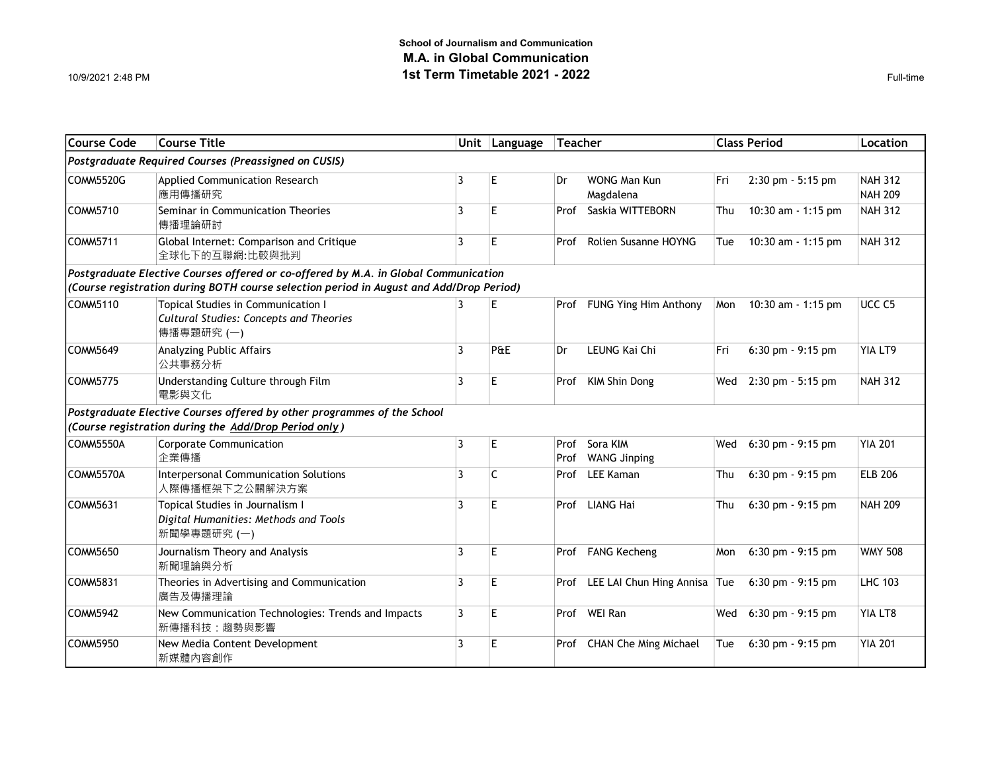| <b>Course Code</b>                                                                      | <b>Course Title</b>                                                                                |                | Unit Language | <b>Teacher</b> |                                 | <b>Class Period</b> |                      | Location                         |  |
|-----------------------------------------------------------------------------------------|----------------------------------------------------------------------------------------------------|----------------|---------------|----------------|---------------------------------|---------------------|----------------------|----------------------------------|--|
|                                                                                         | Postgraduate Required Courses (Preassigned on CUSIS)                                               |                |               |                |                                 |                     |                      |                                  |  |
| COMM5520G                                                                               | Applied Communication Research<br>應用傳播研究                                                           | 3              | E             | Dr             | WONG Man Kun<br>Magdalena       | Fri                 | 2:30 pm - 5:15 pm    | <b>NAH 312</b><br><b>NAH 209</b> |  |
| COMM5710                                                                                | Seminar in Communication Theories<br>傳播理論研討                                                        | 3              | E             |                | Prof Saskia WITTEBORN           | <b>Thu</b>          | 10:30 am - 1:15 pm   | <b>NAH 312</b>                   |  |
| COMM5711                                                                                | Global Internet: Comparison and Critique<br>全球化下的互聯網:比較與批判                                         | 3              | E             | Prof           | Rolien Susanne HOYNG            | Tue                 | 10:30 am $-1:15$ pm  | <b>NAH 312</b>                   |  |
|                                                                                         | Postgraduate Elective Courses offered or co-offered by M.A. in Global Communication                |                |               |                |                                 |                     |                      |                                  |  |
| (Course registration during BOTH course selection period in August and Add/Drop Period) |                                                                                                    |                |               |                |                                 |                     |                      |                                  |  |
| COMM5110                                                                                | Topical Studies in Communication I<br><b>Cultural Studies: Concepts and Theories</b><br>傳播專題研究 (一) | 3              | E             |                | Prof FUNG Ying Him Anthony      | Mon                 | 10:30 am - 1:15 pm   | UCC <sub>C5</sub>                |  |
| COMM5649                                                                                | Analyzing Public Affairs<br>公共事務分析                                                                 | 3              | P&E           | Dr             | LEUNG Kai Chi                   | Fri                 | 6:30 pm - 9:15 pm    | YIA LT9                          |  |
| COMM5775                                                                                | Understanding Culture through Film<br>電影與文化                                                        | $\overline{3}$ | E             | Prof           | <b>KIM Shin Dong</b>            | Wed                 | 2:30 pm - 5:15 pm    | <b>NAH 312</b>                   |  |
|                                                                                         | $\vert$ Postgraduate Elective Courses offered by other programmes of the School                    |                |               |                |                                 |                     |                      |                                  |  |
|                                                                                         | (Course registration during the Add/Drop Period only)                                              |                |               |                |                                 |                     |                      |                                  |  |
| COMM5550A                                                                               | <b>Corporate Communication</b><br>企業傳播                                                             | 3              | E             | Prof<br>Prof   | Sora KIM<br><b>WANG Jinping</b> | Wed                 | 6:30 pm - 9:15 pm    | <b>YIA 201</b>                   |  |
| ICOMM5570A                                                                              | Interpersonal Communication Solutions<br>人際傳播框架下之公關解決方案                                            | 3              | C             | Prof           | <b>LEE Kaman</b>                | Thu                 | 6:30 pm - 9:15 pm    | <b>ELB 206</b>                   |  |
| COMM5631                                                                                | Topical Studies in Journalism I<br>Digital Humanities: Methods and Tools<br>新聞學專題研究 (一)            | 3              | E             |                | Prof LIANG Hai                  | Thu                 | 6:30 pm - 9:15 pm    | <b>NAH 209</b>                   |  |
| COMM5650                                                                                | Journalism Theory and Analysis<br>新聞理論與分析                                                          | 3              | E             |                | Prof FANG Kecheng               | Mon                 | 6:30 pm - 9:15 pm    | <b>WMY 508</b>                   |  |
| COMM5831                                                                                | Theories in Advertising and Communication<br>廣告及傳播理論                                               | 3              | E             |                | Prof LEE LAI Chun Hing Annisa   | Tue                 | $6:30$ pm $-9:15$ pm | <b>LHC 103</b>                   |  |
| COMM5942                                                                                | New Communication Technologies: Trends and Impacts<br>新傳播科技:趨勢與影響                                  | 3              | E             |                | Prof WEI Ran                    | Wed                 | 6:30 pm - 9:15 pm    | YIA LT8                          |  |
| COMM5950                                                                                | New Media Content Development<br>新媒體內容創作                                                           | 3              | E             | Prof           | <b>CHAN Che Ming Michael</b>    | Tue                 | 6:30 pm - 9:15 pm    | <b>YIA 201</b>                   |  |